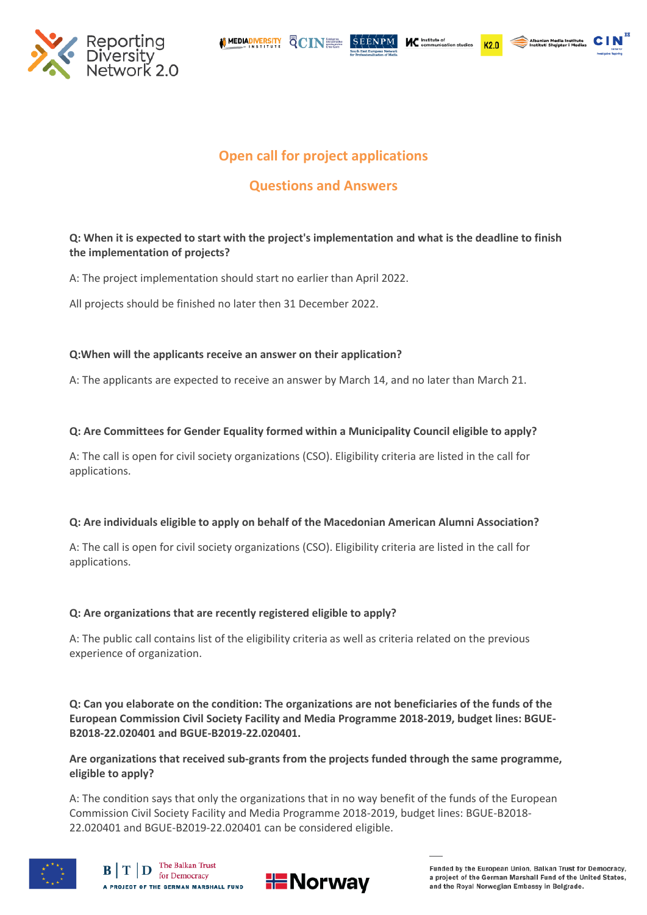

**MEDIADIVERSITY** QCINER

 $K2.0$ 



# **Open call for project applications**

**SEENPM** 

# **Questions and Answers**

# **Q: When it is expected to start with the project's implementation and what is the deadline to finish the implementation of projects?**

A: The project implementation should start no earlier than April 2022.

All projects should be finished no later then 31 December 2022.

# **Q:When will the applicants receive an answer on their application?**

A: The applicants are expected to receive an answer by March 14, and no later than March 21.

# **Q: Are Committees for Gender Equality formed within a Municipality Council eligible to apply?**

A: The call is open for civil society organizations (CSO). Eligibility criteria are listed in the call for applications.

# **Q: Are individuals eligible to apply on behalf of the Macedonian American Alumni Association?**

A: The call is open for civil society organizations (CSO). Eligibility criteria are listed in the call for applications.

# **Q: Are organizations that are recently registered eligible to apply?**

A: The public call contains list of the eligibility criteria as well as criteria related on the previous experience of organization.

**Q: Can you elaborate on the condition: The organizations are not beneficiaries of the funds of the European Commission Civil Society Facility and Media Programme 2018-2019, budget lines: BGUE-B2018-22.020401 and BGUE-B2019-22.020401.** 

**Are organizations that received sub-grants from the projects funded through the same programme, eligible to apply?**

A: The condition says that only the organizations that in no way benefit of the funds of the European Commission Civil Society Facility and Media Programme 2018-2019, budget lines: BGUE-B2018- 22.020401 and BGUE-B2019-22.020401 can be considered eligible.



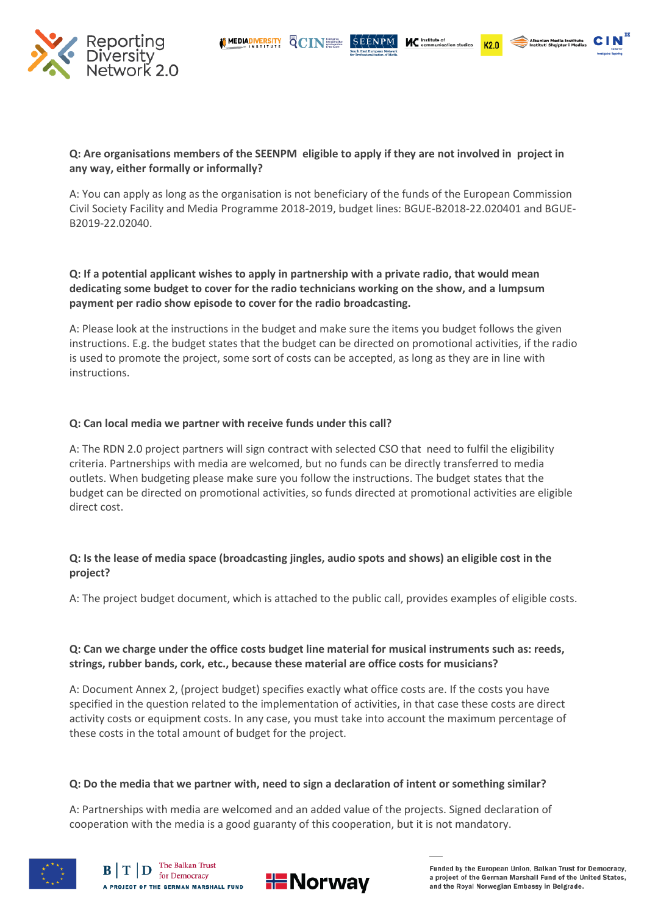QCINE

 $K2n$ 



#### **Q: Are organisations members of the SEENPM eligible to apply if they are not involved in project in any way, either formally or informally?**

**MEDIADIVERSITY** 

A: You can apply as long as the organisation is not beneficiary of the funds of the European Commission Civil Society Facility and Media Programme 2018-2019, budget lines: BGUE-B2018-22.020401 and BGUE-B2019-22.02040.

**Q: If a potential applicant wishes to apply in partnership with a private radio, that would mean dedicating some budget to cover for the radio technicians working on the show, and a lumpsum payment per radio show episode to cover for the radio broadcasting.** 

A: Please look at the instructions in the budget and make sure the items you budget follows the given instructions. E.g. the budget states that the budget can be directed on promotional activities, if the radio is used to promote the project, some sort of costs can be accepted, as long as they are in line with instructions.

#### **Q: Can local media we partner with receive funds under this call?**

A: The RDN 2.0 project partners will sign contract with selected CSO that need to fulfil the eligibility criteria. Partnerships with media are welcomed, but no funds can be directly transferred to media outlets. When budgeting please make sure you follow the instructions. The budget states that the budget can be directed on promotional activities, so funds directed at promotional activities are eligible direct cost.

#### **Q: Is the lease of media space (broadcasting jingles, audio spots and shows) an eligible cost in the project?**

A: The project budget document, which is attached to the public call, provides examples of eligible costs.

#### **Q: Can we charge under the office costs budget line material for musical instruments such as: reeds, strings, rubber bands, cork, etc., because these material are office costs for musicians?**

A: Document Annex 2, (project budget) specifies exactly what office costs are. If the costs you have specified in the question related to the implementation of activities, in that case these costs are direct activity costs or equipment costs. In any case, you must take into account the maximum percentage of these costs in the total amount of budget for the project.

#### **Q: Do the media that we partner with, need to sign a declaration of intent or something similar?**

A: Partnerships with media are welcomed and an added value of the projects. Signed declaration of cooperation with the media is a good guaranty of this cooperation, but it is not mandatory.